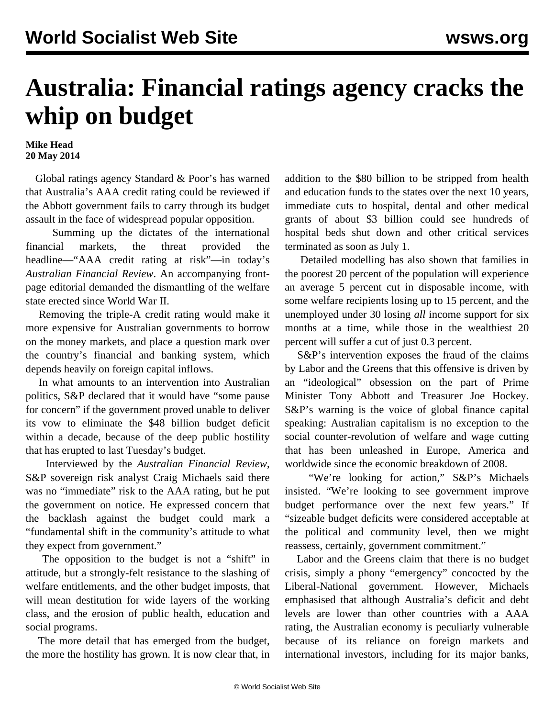## **Australia: Financial ratings agency cracks the whip on budget**

## **Mike Head 20 May 2014**

 Global ratings agency Standard & Poor's has warned that Australia's AAA credit rating could be reviewed if the Abbott government fails to carry through its budget assault in the face of widespread popular opposition.

 Summing up the dictates of the international financial markets, the threat provided the headline—"AAA credit rating at risk"—in today's *Australian Financial Review*. An accompanying frontpage editorial demanded the dismantling of the welfare state erected since World War II.

 Removing the triple-A credit rating would make it more expensive for Australian governments to borrow on the money markets, and place a question mark over the country's financial and banking system, which depends heavily on foreign capital inflows.

 In what amounts to an intervention into Australian politics, S&P declared that it would have "some pause for concern" if the government proved unable to deliver its vow to eliminate the \$48 billion budget deficit within a decade, because of the deep public hostility that has erupted to last Tuesday's budget.

 Interviewed by the *Australian Financial Review*, S&P sovereign risk analyst Craig Michaels said there was no "immediate" risk to the AAA rating, but he put the government on notice. He expressed concern that the backlash against the budget could mark a "fundamental shift in the community's attitude to what they expect from government."

 The opposition to the budget is not a "shift" in attitude, but a strongly-felt resistance to the slashing of welfare entitlements, and the other budget imposts, that will mean destitution for wide layers of the working class, and the erosion of public health, education and social programs.

 The more detail that has emerged from the budget, the more the hostility has grown. It is now clear that, in addition to the \$80 billion to be stripped from health and education funds to the states over the next 10 years, immediate cuts to hospital, dental and other medical grants of about \$3 billion could see hundreds of hospital beds shut down and other critical services terminated as soon as July 1.

 Detailed modelling has also shown that families in the poorest 20 percent of the population will experience an average 5 percent cut in disposable income, with some welfare recipients losing up to 15 percent, and the unemployed under 30 losing *all* income support for six months at a time, while those in the wealthiest 20 percent will suffer a cut of just 0.3 percent.

 S&P's intervention exposes the fraud of the claims by Labor and the Greens that this offensive is driven by an "ideological" obsession on the part of Prime Minister Tony Abbott and Treasurer Joe Hockey. S&P's warning is the voice of global finance capital speaking: Australian capitalism is no exception to the social counter-revolution of welfare and wage cutting that has been unleashed in Europe, America and worldwide since the economic breakdown of 2008.

"We're looking for action," S&P's Michaels insisted. "We're looking to see government improve budget performance over the next few years." If "sizeable budget deficits were considered acceptable at the political and community level, then we might reassess, certainly, government commitment."

 Labor and the Greens claim that there is no budget crisis, simply a phony "emergency" concocted by the Liberal-National government. However, Michaels emphasised that although Australia's deficit and debt levels are lower than other countries with a AAA rating, the Australian economy is peculiarly vulnerable because of its reliance on foreign markets and international investors, including for its major banks,